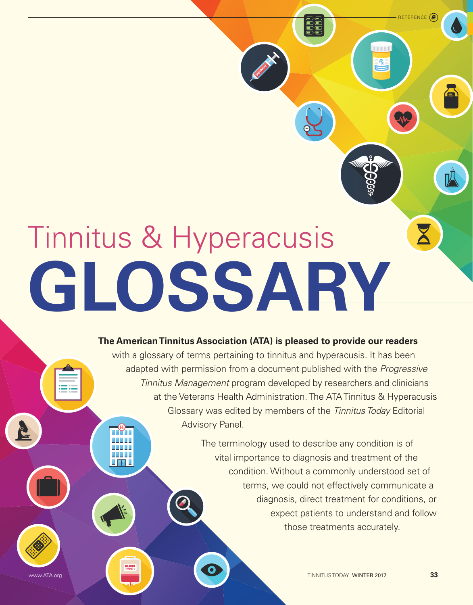# Tinnitus & Hyperacusis **Glossary**

 $\mathbb{Z}$  /d  $\mathbb{Z}$ 

**BLOOD**<br>TYPE

# **The American Tinnitus Association (ATA) is pleased to provide our readers**

with a glossary of terms pertaining to tinnitus and hyperacusis. It has been adapted with permission from a document published with the *Progressive Tinnitus Management* program developed by researchers and clinicians at the Veterans Health Administration. The ATA Tinnitus & Hyperacusis Glossary was edited by members of the *Tinnitus Today* Editorial Advisory Panel.

> The terminology used to describe any condition is of vital importance to diagnosis and treatment of the condition. Without a commonly understood set of terms, we could not effectively communicate a diagnosis, direct treatment for conditions, or expect patients to understand and follow those treatments accurately.

WWW.ATA.org New York New York New York New York New York New York New York New York New York New York New York New York New York New York New York New York New York New York New York New York New York New York New York New

REFERENCE<sup>(</sup>

 $\frac{R}{2}$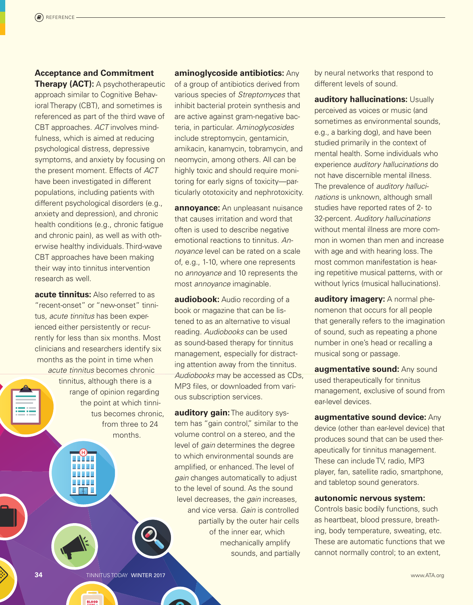# **Acceptance and Commitment**

**Therapy (ACT):** A psychotherapeutic approach similar to Cognitive Behavioral Therapy (CBT), and sometimes is referenced as part of the third wave of CBT approaches. *ACT* involves mindfulness, which is aimed at reducing psychological distress, depressive symptoms, and anxiety by focusing on the present moment. Effects of *ACT* have been investigated in different populations, including patients with different psychological disorders (e.g., anxiety and depression), and chronic health conditions (e.g., chronic fatigue and chronic pain), as well as with otherwise healthy individuals. Third-wave CBT approaches have been making their way into tinnitus intervention research as well.

**acute tinnitus:** Also referred to as "recent-onset" or "new-onset" tinnitus, *acute tinnitus* has been experienced either persistently or recurrently for less than six months. Most clinicians and researchers identify six months as the point in time when *acute tinnitus* becomes chronic tinnitus, although there is a range of opinion regarding the point at which tinnitus becomes chronic, from three to 24 months.

 $\angle$  7.7  $\angle$ 

**BLOOD** 

**aminoglycoside antibiotics:** Any of a group of antibiotics derived from various species of *Streptomyces* that inhibit bacterial protein synthesis and are active against gram-negative bacteria, in particular. *Aminoglycosides* include streptomycin, gentamicin, amikacin, kanamycin, tobramycin, and neomycin, among others. All can be highly toxic and should require monitoring for early signs of toxicity—particularly ototoxicity and nephrotoxicity.

**annoyance:** An unpleasant nuisance that causes irritation and word that often is used to describe negative emotional reactions to tinnitus. *Annoyance* level can be rated on a scale of, e.g., 1-10, where one represents no *annoyance* and 10 represents the most *annoyance* imaginable.

**audiobook:** Audio recording of a book or magazine that can be listened to as an alternative to visual reading. *Audiobooks* can be used as sound-based therapy for tinnitus management, especially for distracting attention away from the tinnitus. *Audiobooks* may be accessed as CDs, MP3 files, or downloaded from various subscription services.

**auditory gain:** The auditory system has "gain control," similar to the volume control on a stereo, and the level of *gain* determines the degree to which environmental sounds are amplified, or enhanced. The level of *gain* changes automatically to adjust to the level of sound. As the sound level decreases, the *gain* increases, and vice versa. *Gain* is controlled partially by the outer hair cells of the inner ear, which mechanically amplify sounds, and partially by neural networks that respond to different levels of sound.

**auditory hallucinations:** Usually perceived as voices or music (and sometimes as environmental sounds, e.g., a barking dog), and have been studied primarily in the context of mental health. Some individuals who experience *auditory hallucinations* do not have discernible mental illness. The prevalence of *auditory hallucinations* is unknown, although small studies have reported rates of 2- to 32-percent. *Auditory hallucinations* without mental illness are more common in women than men and increase with age and with hearing loss. The most common manifestation is hearing repetitive musical patterns, with or without lyrics (musical hallucinations).

**auditory imagery:** A normal phenomenon that occurs for all people that generally refers to the imagination of sound, such as repeating a phone number in one's head or recalling a musical song or passage.

**augmentative sound: Any sound** used therapeutically for tinnitus management, exclusive of sound from ear-level devices.

**augmentative sound device:** Any device (other than ear-level device) that produces sound that can be used therapeutically for tinnitus management. These can include TV, radio, MP3 player, fan, satellite radio, smartphone, and tabletop sound generators.

#### **autonomic nervous system:**

Controls basic bodily functions, such as heartbeat, blood pressure, breathing, body temperature, sweating, etc. These are automatic functions that we cannot normally control; to an extent,

**34** TINNITUS TODAY WINTER 2017 WWW.ATA.org **The Contract Only 10 and 2017** www.ATA.org **www.ATA.org**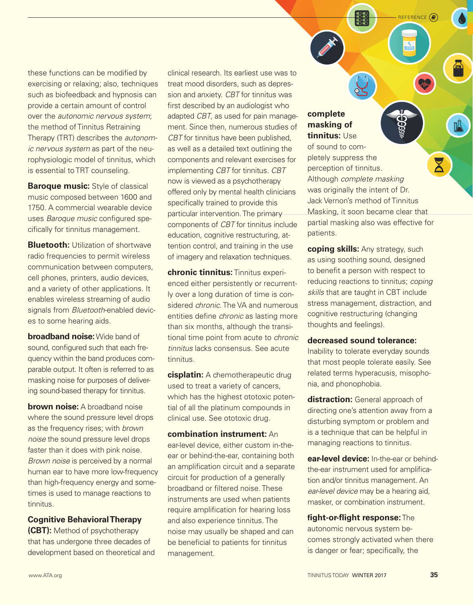these functions can be modified by exercising or relaxing; also, techniques such as biofeedback and hypnosis can provide a certain amount of control over the *autonomic nervous system*; the method of Tinnitus Retraining Therapy (TRT) describes the *autonomic nervous system* as part of the neurophysiologic model of tinnitus, which is essential to TRT counseling.

**Baroque music:** Style of classical music composed between 1600 and 1750. A commercial wearable device uses *Baroque music* configured specifically for tinnitus management.

**Bluetooth:** Utilization of shortwave radio frequencies to permit wireless communication between computers, cell phones, printers, audio devices, and a variety of other applications. It enables wireless streaming of audio signals from *Bluetooth*-enabled devices to some hearing aids.

**broadband noise:** Wide band of sound, configured such that each frequency within the band produces comparable output. It often is referred to as masking noise for purposes of delivering sound-based therapy for tinnitus.

**brown noise:** A broadband noise where the sound pressure level drops as the frequency rises; with *brown noise* the sound pressure level drops faster than it does with pink noise. *Brown noise* is perceived by a normal human ear to have more low-frequency than high-frequency energy and sometimes is used to manage reactions to tinnitus.

## **Cognitive Behavioral Therapy**

**(CBT):** Method of psychotherapy that has undergone three decades of development based on theoretical and clinical research. Its earliest use was to treat mood disorders, such as depression and anxiety. *CBT* for tinnitus was first described by an audiologist who adapted *CBT*, as used for pain management. Since then, numerous studies of *CBT* for tinnitus have been published, as well as a detailed text outlining the components and relevant exercises for implementing *CBT* for tinnitus. *CBT* now is viewed as a psychotherapy offered only by mental health clinicians specifically trained to provide this particular intervention. The primary components of *CBT* for tinnitus include education, cognitive restructuring, attention control, and training in the use of imagery and relaxation techniques.

**chronic tinnitus:** Tinnitus experienced either persistently or recurrently over a long duration of time is considered *chronic*. The VA and numerous entities define *chronic* as lasting more than six months, although the transitional time point from acute to *chronic tinnitus* lacks consensus. See acute tinnitus.

**cisplatin:** A chemotherapeutic drug used to treat a variety of cancers, which has the highest ototoxic potential of all the platinum compounds in clinical use. See ototoxic drug.

**combination instrument:** An ear-level device, either custom in-theear or behind-the-ear, containing both an amplification circuit and a separate circuit for production of a generally broadband or filtered noise. These instruments are used when patients require amplification for hearing loss and also experience tinnitus. The noise may usually be shaped and can be beneficial to patients for tinnitus management.

# **complete masking of tinnitus:** Use

of sound to completely suppress the perception of tinnitus. Although *complete masking* was originally the intent of Dr. Jack Vernon's method of Tinnitus Masking, it soon became clear that partial masking also was effective for patients.

reference

**coping skills:** Any strategy, such as using soothing sound, designed to benefit a person with respect to reducing reactions to tinnitus; *coping skills* that are taught in CBT include stress management, distraction, and cognitive restructuring (changing thoughts and feelings).

## **decreased sound tolerance:**

Inability to tolerate everyday sounds that most people tolerate easily. See related terms hyperacusis, misophonia, and phonophobia.

**distraction:** General approach of directing one's attention away from a disturbing symptom or problem and is a technique that can be helpful in managing reactions to tinnitus.

**ear-level device:** In-the-ear or behindthe-ear instrument used for amplification and/or tinnitus management. An *ear-level device* may be a hearing aid, masker, or combination instrument.

**fight-or-flight response:** The autonomic nervous system becomes strongly activated when there is danger or fear; specifically, the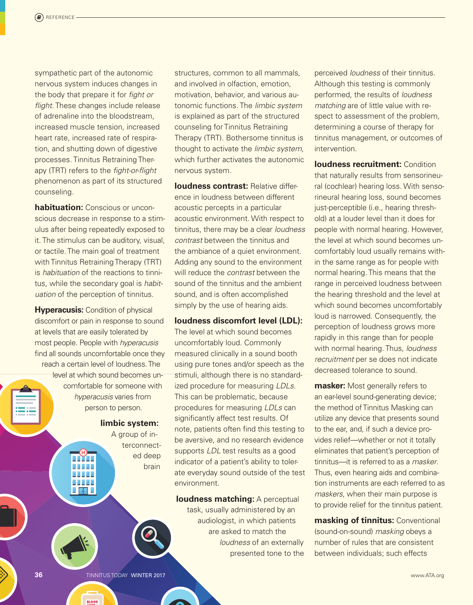sympathetic part of the autonomic nervous system induces changes in the body that prepare it for *fight or flight*. These changes include release of adrenaline into the bloodstream, increased muscle tension, increased heart rate, increased rate of respiration, and shutting down of digestive processes. Tinnitus Retraining Therapy (TRT) refers to the *fight-or-flight* phenomenon as part of its structured counseling.

**habituation:** Conscious or unconscious decrease in response to a stimulus after being repeatedly exposed to it. The stimulus can be auditory, visual, or tactile. The main goal of treatment with Tinnitus Retraining Therapy (TRT) is *habituation* of the reactions to tinnitus, while the secondary goal is *habituation* of the perception of tinnitus.

**Hyperacusis: Condition of physical** discomfort or pain in response to sound at levels that are easily tolerated by most people. People with *hyperacusis* find all sounds uncomfortable once they reach a certain level of loudness. The level at which sound becomes uncomfortable for someone with *hyperacusis* varies from person to person.

 $\angle$  7.7  $\angle$ 

**limbic system:** A group of interconnected deep brain

structures, common to all mammals, and involved in olfaction, emotion, motivation, behavior, and various autonomic functions. The *limbic system* is explained as part of the structured counseling for Tinnitus Retraining Therapy (TRT). Bothersome tinnitus is thought to activate the *limbic system*, which further activates the autonomic nervous system.

**loudness contrast: Relative differ**ence in loudness between different acoustic percepts in a particular acoustic environment. With respect to tinnitus, there may be a clear *loudness contrast* between the tinnitus and the ambiance of a quiet environment. Adding any sound to the environment will reduce the *contrast* between the sound of the tinnitus and the ambient sound, and is often accomplished simply by the use of hearing aids.

#### **loudness discomfort level (LDL):**

The level at which sound becomes uncomfortably loud. Commonly measured clinically in a sound booth using pure tones and/or speech as the stimuli, although there is no standardized procedure for measuring *LDLs*. This can be problematic, because procedures for measuring *LDLs* can significantly affect test results. Of note, patients often find this testing to be aversive, and no research evidence supports *LDL* test results as a good indicator of a patient's ability to tolerate everyday sound outside of the test environment.

**loudness matching:** A perceptual task, usually administered by an audiologist, in which patients are asked to match the *loudness* of an externally presented tone to the

perceived *loudness* of their tinnitus. Although this testing is commonly performed, the results of *loudness matching* are of little value with respect to assessment of the problem, determining a course of therapy for tinnitus management, or outcomes of intervention.

**loudness recruitment: Condition** that naturally results from sensorineural (cochlear) hearing loss. With sensorineural hearing loss, sound becomes just-perceptible (i.e., hearing threshold) at a louder level than it does for people with normal hearing. However, the level at which sound becomes uncomfortably loud usually remains within the same range as for people with normal hearing. This means that the range in perceived loudness between the hearing threshold and the level at which sound becomes uncomfortably loud is narrowed. Consequently, the perception of loudness grows more rapidly in this range than for people with normal hearing. Thus, *loudness recruitment* per se does not indicate decreased tolerance to sound.

**masker:** Most generally refers to an ear-level sound-generating device; the method of Tinnitus Masking can utilize any device that presents sound to the ear, and, if such a device provides relief—whether or not it totally eliminates that patient's perception of tinnitus—it is referred to as a *masker*. Thus, even hearing aids and combination instruments are each referred to as *maskers*, when their main purpose is to provide relief for the tinnitus patient.

**masking of tinnitus:** Conventional (sound-on-sound) *masking* obeys a number of rules that are consistent between individuals; such effects

**36** TINNITUS TODAY WINTER 2017 WWW.ATA.org **The Contract Only 10** TINNITUS TODAY WINTER 2017

**BLOOD**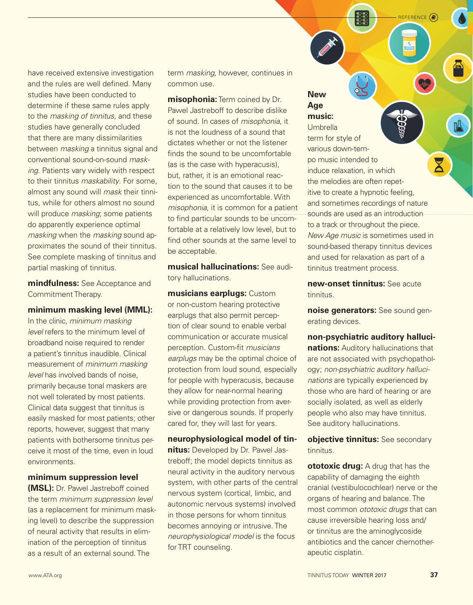have received extensive investigation and the rules are well defined. Many studies have been conducted to determine if these same rules apply to the *masking of tinnitus*, and these studies have generally concluded that there are many dissimilarities between *masking* a tinnitus signal and conventional sound-on-sound *masking*. Patients vary widely with respect to their tinnitus *maskability*. For some, almost any sound will *mask* their tinnitus, while for others almost no sound will produce *masking*; some patients do apparently experience optimal *masking* when the *masking* sound approximates the sound of their tinnitus. See complete masking of tinnitus and partial masking of tinnitus.

**mindfulness:** See Acceptance and Commitment Therapy.

**minimum masking level (MML):**

In the clinic, *minimum masking level* refers to the minimum level of broadband noise required to render a patient's tinnitus inaudible. Clinical measurement of *minimum masking level* has involved bands of noise, primarily because tonal maskers are not well tolerated by most patients. Clinical data suggest that tinnitus is easily masked for most patients; other reports, however, suggest that many patients with bothersome tinnitus perceive it most of the time, even in loud environments.

#### **minimum suppression level**

**(MSL):** Dr. Pawel Jastreboff coined the term *minimum suppression level* (as a replacement for minimum masking level) to describe the suppression of neural activity that results in elimination of the perception of tinnitus as a result of an external sound. The

term *masking*, however, continues in common use.

**misophonia:** Term coined by Dr. Pawel Jastreboff to describe dislike of sound. In cases of *misophonia*, it is not the loudness of a sound that dictates whether or not the listener finds the sound to be uncomfortable (as is the case with hyperacusis), but, rather, it is an emotional reaction to the sound that causes it to be experienced as uncomfortable. With *misophonia*, it is common for a patient to find particular sounds to be uncomfortable at a relatively low level, but to find other sounds at the same level to be acceptable.

**musical hallucinations:** See auditory hallucinations.

**musicians earplugs:** Custom or non-custom hearing protective earplugs that also permit perception of clear sound to enable verbal communication or accurate musical perception. Custom-fit *musicians earplugs* may be the optimal choice of protection from loud sound, especially for people with hyperacusis, because they allow for near-normal hearing while providing protection from aversive or dangerous sounds. If properly cared for, they will last for years.

**neurophysiological model of tinnitus:** Developed by Dr. Pawel Jastreboff; the model depicts tinnitus as neural activity in the auditory nervous system, with other parts of the central nervous system (cortical, limbic, and autonomic nervous systems) involved in those persons for whom tinnitus becomes annoying or intrusive. The *neurophysiological model* is the focus for TRT counseling.

# **New Age music:**

Umbrella term for style of various down-tempo music intended to induce relaxation, in which the melodies are often repetitive to create a hypnotic feeling, and sometimes recordings of nature sounds are used as an introduction to a track or throughout the piece. *New Age music* is sometimes used in sound-based therapy tinnitus devices and used for relaxation as part of a tinnitus treatment process.

reference

**new-onset tinnitus:** See acute tinnitus.

**noise generators:** See sound generating devices.

**non-psychiatric auditory hallucinations:** Auditory hallucinations that are not associated with psychopathology; *non-psychiatric auditory hallucinations* are typically experienced by those who are hard of hearing or are socially isolated, as well as elderly people who also may have tinnitus. See auditory hallucinations.

**objective tinnitus:** See secondary tinnitus.

**ototoxic drug:** A drug that has the capability of damaging the eighth cranial (vestibulocochlear) nerve or the organs of hearing and balance. The most common *ototoxic drugs* that can cause irreversible hearing loss and/ or tinnitus are the aminoglycoside antibiotics and the cancer chemotherapeutic cisplatin.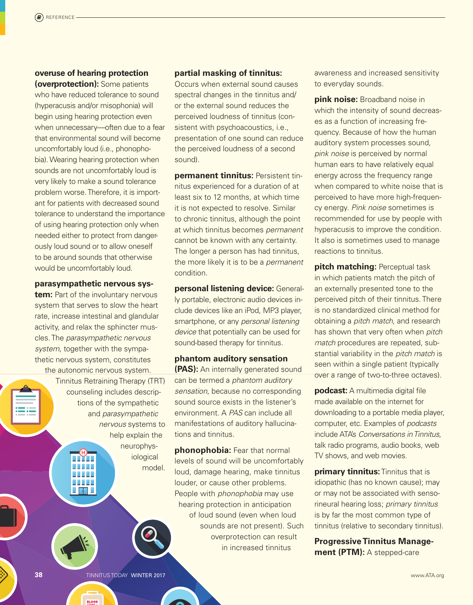### **overuse of hearing protection (overprotection):** Some patients

who have reduced tolerance to sound (hyperacusis and/or misophonia) will begin using hearing protection even when unnecessary—often due to a fear that environmental sound will become uncomfortably loud (i.e., phonophobia). Wearing hearing protection when sounds are not uncomfortably loud is very likely to make a sound tolerance problem worse. Therefore, it is important for patients with decreased sound tolerance to understand the importance of using hearing protection only when needed either to protect from dangerously loud sound or to allow oneself to be around sounds that otherwise would be uncomfortably loud.

## **parasympathetic nervous sys-**

**tem:** Part of the involuntary nervous system that serves to slow the heart rate, increase intestinal and glandular activity, and relax the sphincter muscles. The *parasympathetic nervous system*, together with the sympathetic nervous system, constitutes the autonomic nervous system.

Tinnitus Retraining Therapy (TRT) counseling includes descriptions of the sympathetic and *parasympathetic nervous* systems to help explain the neurophysiological

 $\angle$  7.7  $\angle$ 

model.

### **partial masking of tinnitus:**

Occurs when external sound causes spectral changes in the tinnitus and/ or the external sound reduces the perceived loudness of tinnitus (consistent with psychoacoustics, *i.e.*, presentation of one sound can reduce the perceived loudness of a second sound).

**permanent tinnitus:** Persistent tinnitus experienced for a duration of at least six to 12 months, at which time it is not expected to resolve. Similar to chronic tinnitus, although the point at which tinnitus becomes *permanent* cannot be known with any certainty. The longer a person has had tinnitus, the more likely it is to be a *permanent* condition.

**personal listening device:** Generally portable, electronic audio devices include devices like an iPod, MP3 player, smartphone, or any *personal listening device* that potentially can be used for sound-based therapy for tinnitus.

# **phantom auditory sensation (PAS):** An internally generated sound can be termed a *phantom auditory sensation*, because no corresponding sound source exists in the listener's environment. A *PAS* can include all manifestations of auditory hallucinations and tinnitus.

**phonophobia:** Fear that normal levels of sound will be uncomfortably loud, damage hearing, make tinnitus louder, or cause other problems. People with *phonophobia* may use hearing protection in anticipation of loud sound (even when loud sounds are not present). Such overprotection can result in increased tinnitus

awareness and increased sensitivity to everyday sounds.

**pink noise:** Broadband noise in which the intensity of sound decreases as a function of increasing frequency. Because of how the human auditory system processes sound, *pink noise* is perceived by normal human ears to have relatively equal energy across the frequency range when compared to white noise that is perceived to have more high-frequency energy. *Pink noise* sometimes is recommended for use by people with hyperacusis to improve the condition. It also is sometimes used to manage reactions to tinnitus.

**pitch matching: Perceptual task** in which patients match the pitch of an externally presented tone to the perceived pitch of their tinnitus. There is no standardized clinical method for obtaining a *pitch match*, and research has shown that very often when *pitch match* procedures are repeated, substantial variability in the *pitch match* is seen within a single patient (typically over a range of two-to-three octaves).

**podcast:** A multimedia digital file made available on the internet for downloading to a portable media player, computer, etc. Examples of *podcasts* include ATA's *Conversations in Tinnitus*, talk radio programs, audio books, web TV shows, and web movies.

**primary tinnitus:** Tinnitus that is idiopathic (has no known cause); may or may not be associated with sensorineural hearing loss; *primary tinnitus* is by far the most common type of tinnitus (relative to secondary tinnitus).

**Progressive Tinnitus Management (PTM):** A stepped-care

**38** TINNITUS TODAY WINTER 2017 WWW.ATA.org **The Contract Only 10 and 2017** www.ATA.org **www.ATA.org** 

**BLOOD**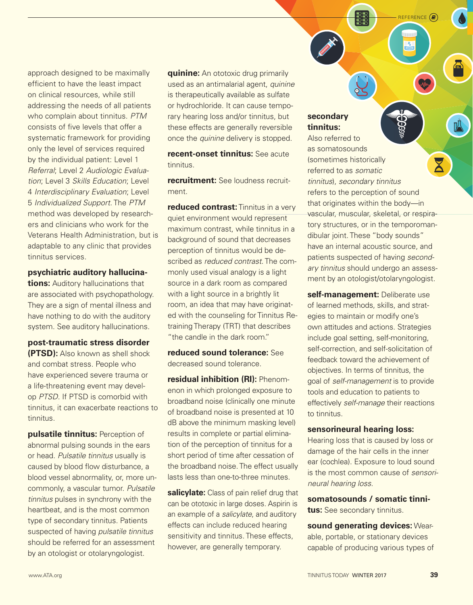approach designed to be maximally efficient to have the least impact on clinical resources, while still addressing the needs of all patients who complain about tinnitus. *PTM* consists of five levels that offer a systematic framework for providing only the level of services required by the individual patient: Level 1 *Referral*; Level 2 *Audiologic Evaluation*; Level 3 *Skills Education*; Level 4 *Interdisciplinary Evaluation*; Level 5 *Individualized Support*. The *PTM* method was developed by researchers and clinicians who work for the Veterans Health Administration, but is adaptable to any clinic that provides tinnitus services.

#### **psychiatric auditory hallucina-**

**tions:** Auditory hallucinations that are associated with psychopathology. They are a sign of mental illness and have nothing to do with the auditory system. See auditory hallucinations.

**post-traumatic stress disorder (PTSD):** Also known as shell shock and combat stress. People who have experienced severe trauma or a life-threatening event may develop *PTSD*. If PTSD is comorbid with tinnitus, it can exacerbate reactions to tinnitus.

**pulsatile tinnitus:** Perception of abnormal pulsing sounds in the ears or head. *Pulsatile tinnitus* usually is caused by blood flow disturbance, a blood vessel abnormality, or, more uncommonly, a vascular tumor. *Pulsatile tinnitus* pulses in synchrony with the heartbeat, and is the most common type of secondary tinnitus. Patients suspected of having *pulsatile tinnitus* should be referred for an assessment by an otologist or otolaryngologist.

**quinine:** An ototoxic drug primarily used as an antimalarial agent, *quinine* is therapeutically available as sulfate or hydrochloride. It can cause temporary hearing loss and/or tinnitus, but these effects are generally reversible once the *quinine* delivery is stopped.

**recent-onset tinnitus:** See acute tinnitus.

**recruitment:** See loudness recruitment.

**reduced contrast:** Tinnitus in a very quiet environment would represent maximum contrast, while tinnitus in a background of sound that decreases perception of tinnitus would be described as *reduced contrast*. The commonly used visual analogy is a light source in a dark room as compared with a light source in a brightly lit room, an idea that may have originated with the counseling for Tinnitus Retraining Therapy (TRT) that describes "the candle in the dark room."

**reduced sound tolerance:** See decreased sound tolerance.

**residual inhibition (RI):** Phenomenon in which prolonged exposure to broadband noise (clinically one minute of broadband noise is presented at 10 dB above the minimum masking level) results in complete or partial elimination of the perception of tinnitus for a short period of time after cessation of the broadband noise. The effect usually lasts less than one-to-three minutes.

**salicylate:** Class of pain relief drug that can be ototoxic in large doses. Aspirin is an example of a *salicylate*, and auditory effects can include reduced hearing sensitivity and tinnitus. These effects, however, are generally temporary.

# **secondary tinnitus:**

Also referred to as somatosounds (sometimes historically referred to as *somatic tinnitus*), *secondary tinnitus* refers to the perception of sound that originates within the body—in vascular, muscular, skeletal, or respiratory structures, or in the temporomandibular joint. These "body sounds" have an internal acoustic source, and patients suspected of having *secondary tinnitus* should undergo an assessment by an otologist/otolaryngologist.

reference

**self-management:** Deliberate use of learned methods, skills, and strategies to maintain or modify one's own attitudes and actions. Strategies include goal setting, self-monitoring, self-correction, and self-solicitation of feedback toward the achievement of objectives. In terms of tinnitus, the goal of *self-management* is to provide tools and education to patients to effectively *self-manage* their reactions to tinnitus.

#### **sensorineural hearing loss:**

Hearing loss that is caused by loss or damage of the hair cells in the inner ear (cochlea). Exposure to loud sound is the most common cause of *sensorineural hearing loss*.

**somatosounds / somatic tinnitus:** See secondary tinnitus.

**sound generating devices:** Wearable, portable, or stationary devices capable of producing various types of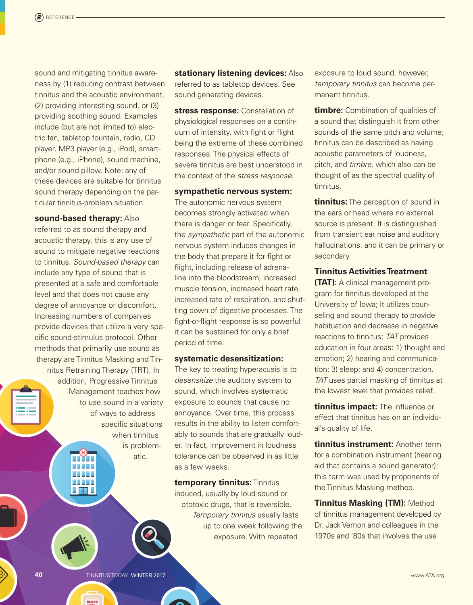sound and mitigating tinnitus awareness by (1) reducing contrast between tinnitus and the acoustic environment, (2) providing interesting sound, or (3) providing soothing sound. Examples include (but are not limited to) electric fan, tabletop fountain, radio, CD player, MP3 player (e.g., iPod), smartphone (e.g., iPhone), sound machine, and/or sound pillow. Note: any of these devices are suitable for tinnitus sound therapy depending on the particular tinnitus-problem situation.

#### **sound-based therapy:** Also

referred to as sound therapy and acoustic therapy, this is any use of sound to mitigate negative reactions to tinnitus. *Sound-based therapy* can include any type of sound that is presented at a safe and comfortable level and that does not cause any degree of annoyance or discomfort. Increasing numbers of companies provide devices that utilize a very specific sound-stimulus protocol. Other methods that primarily use sound as therapy are Tinnitus Masking and Tinnitus Retraining Therapy (TRT). In

addition, Progressive Tinnitus Management teaches how to use sound in a variety of ways to address specific situations when tinnitus is problematic.

 $\angle$  7.7  $\angle$ 

**BLOOD** 

**stationary listening devices:** Also referred to as tabletop devices. See sound generating devices.

**stress response:** Constellation of physiological responses on a continuum of intensity, with fight or flight being the extreme of these combined responses. The physical effects of severe tinnitus are best understood in the context of the *stress response*.

#### **sympathetic nervous system:**

The autonomic nervous system becomes strongly activated when there is danger or fear. Specifically, the *sympathetic* part of the autonomic nervous system induces changes in the body that prepare it for fight or flight, including release of adrenaline into the bloodstream, increased muscle tension, increased heart rate, increased rate of respiration, and shutting down of digestive processes. The fight-or-flight response is so powerful it can be sustained for only a brief period of time.

#### **systematic desensitization:**

The key to treating hyperacusis is to *desensitize* the auditory system to sound, which involves systematic exposure to sounds that cause no annoyance. Over time, this process results in the ability to listen comfortably to sounds that are gradually louder. In fact, improvement in loudness tolerance can be observed in as little as a few weeks.

**temporary tinnitus:** Tinnitus induced, usually by loud sound or ototoxic drugs, that is reversible. *Temporary tinnitus* usually lasts up to one week following the exposure. With repeated

exposure to loud sound, however, *temporary tinnitus* can become permanent tinnitus.

**timbre:** Combination of qualities of a sound that distinguish it from other sounds of the same pitch and volume; tinnitus can be described as having acoustic parameters of loudness, pitch, and *timbre*, which also can be thought of as the spectral quality of tinnitus.

**tinnitus:** The perception of sound in the ears or head where no external source is present. It is distinguished from transient ear noise and auditory hallucinations, and it can be primary or secondary.

## **Tinnitus Activities Treatment**

**(TAT):** A clinical management program for tinnitus developed at the University of Iowa; it utilizes counseling and sound therapy to provide habituation and decrease in negative reactions to tinnitus; *TAT* provides education in four areas: 1) thought and emotion; 2) hearing and communication; 3) sleep; and 4) concentration. *TAT* uses partial masking of tinnitus at the lowest level that provides relief.

**tinnitus impact:** The influence or effect that tinnitus has on an individual's quality of life.

**tinnitus instrument:** Another term for a combination instrument (hearing aid that contains a sound generator); this term was used by proponents of the Tinnitus Masking method.

**Tinnitus Masking (TM):** Method of tinnitus management developed by Dr. Jack Vernon and colleagues in the 1970s and '80s that involves the use

**40** TINNITUS TODAY WINTER 2017 WWW.ATA.org **WINTER 2017**